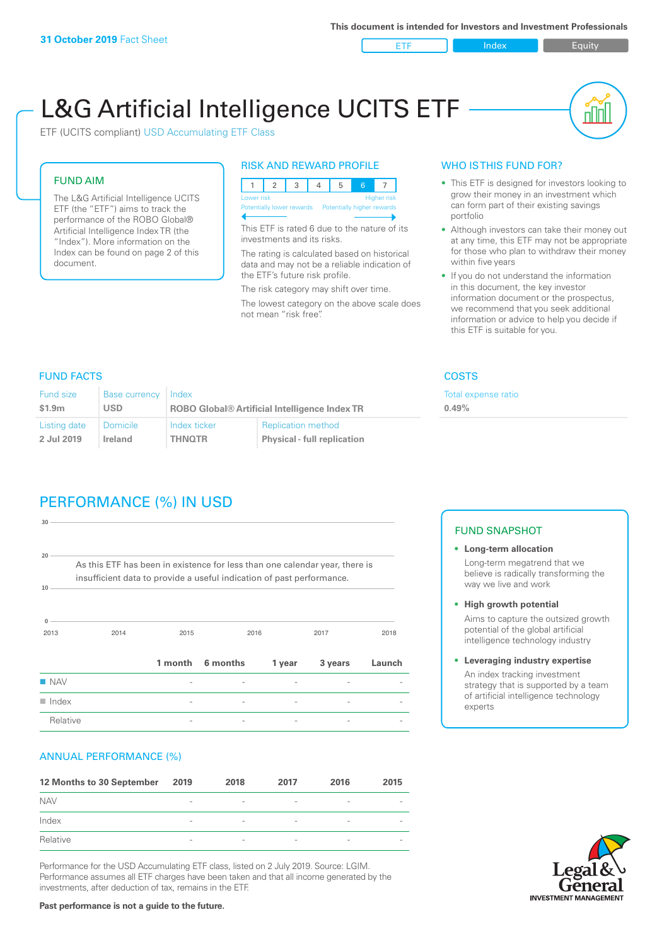ETF Index Requity

nl M

# L&G Artificial Intelligence UCITS ETF

ETF (UCITS compliant) USD Accumulating ETF Class

#### FUND AIM

The L&G Artificial Intelligence UCITS ETF (the "ETF") aims to track the performance of the ROBO Global® Artificial Intelligence Index TR (the "Index"). More information on the Index can be found on page 2 of this document.

#### RISK AND REWARD PROFILE



This ETF is rated 6 due to the nature of its investments and its risks.

The rating is calculated based on historical data and may not be a reliable indication of the ETF's future risk profile.

The risk category may shift over time. The lowest category on the above scale does not mean "risk free".

#### WHO IS THIS FUND FOR?

- This ETF is designed for investors looking to grow their money in an investment which can form part of their existing savings portfolio
- Although investors can take their money out at any time, this ETF may not be appropriate for those who plan to withdraw their money within five years
- If you do not understand the information in this document, the key investor information document or the prospectus, we recommend that you seek additional information or advice to help you decide if this ETF is suitable for you.

**0.49%**

Total expense ratio

FUND FACTS COSTS

| Fund size    | <b>Base currency</b> | Index                                                |                                    |  |
|--------------|----------------------|------------------------------------------------------|------------------------------------|--|
| \$1.9m       | <b>USD</b>           | <b>ROBO Global® Artificial Intelligence Index TR</b> |                                    |  |
| Listing date | <b>Domicile</b>      | Index ticker                                         | <b>Replication method</b>          |  |
| 2 Jul 2019   | Ireland              | <b>THNOTR</b>                                        | <b>Physical - full replication</b> |  |

# PERFORMANCE (%) IN USD

| $20 -$               |                                                                                                                                                      |      |                  |        |         |        |
|----------------------|------------------------------------------------------------------------------------------------------------------------------------------------------|------|------------------|--------|---------|--------|
| 10                   | As this ETF has been in existence for less than one calendar year, there is<br>insufficient data to provide a useful indication of past performance. |      |                  |        |         |        |
| $\mathbf 0$<br>2013  | 2014                                                                                                                                                 | 2015 |                  | 2016   | 2017    | 2018   |
|                      |                                                                                                                                                      |      | 1 month 6 months | 1 year | 3 years | Launch |
| $\blacksquare$ NAV   |                                                                                                                                                      |      |                  |        |         |        |
| $\blacksquare$ Index |                                                                                                                                                      |      |                  |        |         |        |
| Relative             |                                                                                                                                                      |      |                  |        |         |        |

#### ANNUAL PERFORMANCE (%)

| 12 Months to 30 September | 2019                     | 2018                     | 2017                     | 2016                     | 2015                     |
|---------------------------|--------------------------|--------------------------|--------------------------|--------------------------|--------------------------|
| <b>NAV</b>                | $\qquad \qquad$          | $\overline{\phantom{a}}$ | $\overline{\phantom{a}}$ | $\overline{\phantom{a}}$ | $\overline{\phantom{a}}$ |
| Index                     | $\qquad \qquad$          | $\overline{\phantom{a}}$ | $\overline{\phantom{a}}$ | $\overline{a}$           | $\overline{\phantom{a}}$ |
| Relative                  | $\overline{\phantom{a}}$ | $\overline{\phantom{a}}$ | $\overline{\phantom{a}}$ | $\sim$                   | $\overline{\phantom{a}}$ |

Performance for the USD Accumulating ETF class, listed on 2 July 2019. Source: LGIM. Performance assumes all ETF charges have been taken and that all income generated by the investments, after deduction of tax, remains in the ETF.

#### FUND SNAPSHOT

**• Long-term allocation** Long-term megatrend that we believe is radically transforming the way we live and work

**• High growth potential** Aims to capture the outsized growth potential of the global artificial intelligence technology industry

**• Leveraging industry expertise** An index tracking investment strategy that is supported by a team of artificial intelligence technology experts



**Past performance is not a guide to the future.**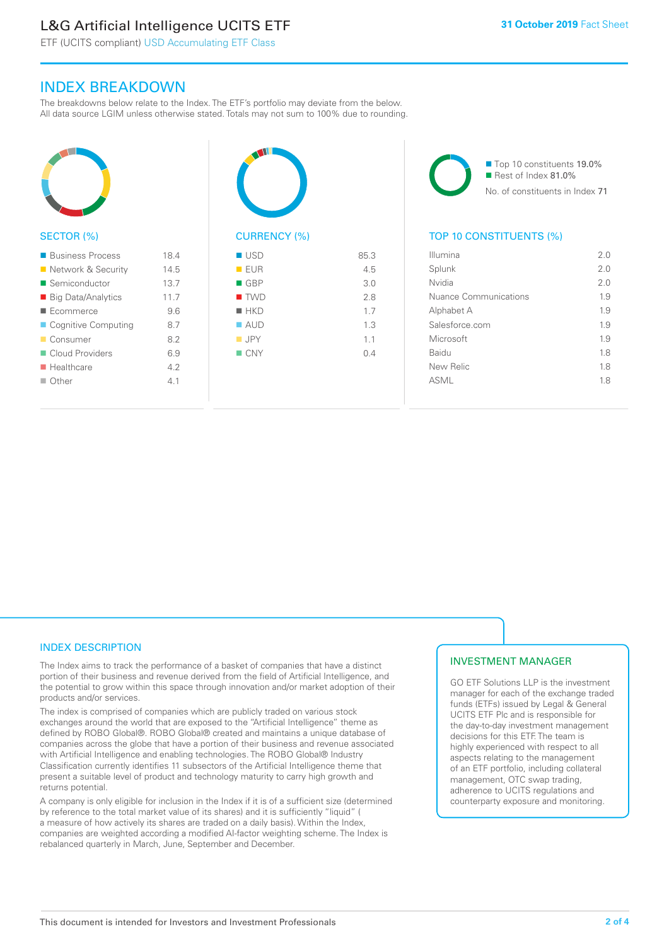# L&G Artificial Intelligence UCITS ETF

ETF (UCITS compliant) USD Accumulating ETF Class

### INDEX BREAKDOWN

The breakdowns below relate to the Index. The ETF's portfolio may deviate from the below. All data source LGIM unless otherwise stated. Totals may not sum to 100% due to rounding.



#### ■ Business Process 18.4 ■ Network & Security 14.5 ■ Semiconductor 13.7 ■ Big Data/Analytics 11.7 ■ Ecommerce 9.6 ■ Cognitive Computing 8.7 ■ Consumer 8.2 ■ Cloud Providers 6.9 n Healthcare 4.2  $\Box$  Other  $4.1$



| ■ USD              | 85.3 |
|--------------------|------|
| EUR                | 4.5  |
| $\blacksquare$ GBP | 3.0  |
| $\blacksquare$ TWD | 2.8  |
| $H$ HKD            | 1.7  |
| $\blacksquare$ AUD | 1.3  |
| $\blacksquare$ JPY | 1.1  |
| $\blacksquare$ CNY | 0.4  |
|                    |      |
|                    |      |

■ Top 10 constituents 19.0% Rest of Index 81.0% No. of constituents in Index 71

#### TOP 10 CONSTITUENTS (%)

| Illumina              | 2.0 |
|-----------------------|-----|
| Splunk                | 2 O |
| Nvidia                | 2 O |
| Nuance Communications | 1.9 |
| Alphabet A            | 19  |
| Salesforce.com        | 1.9 |
| Microsoft             | 1.9 |
| Baidu                 | 1.8 |
| New Relic             | 1.8 |
| ASMI                  | 18  |
|                       |     |

#### INDEX DESCRIPTION

The Index aims to track the performance of a basket of companies that have a distinct portion of their business and revenue derived from the field of Artificial Intelligence, and the potential to grow within this space through innovation and/or market adoption of their products and/or services.

The index is comprised of companies which are publicly traded on various stock exchanges around the world that are exposed to the "Artificial Intelligence" theme as defined by ROBO Global®. ROBO Global® created and maintains a unique database of companies across the globe that have a portion of their business and revenue associated with Artificial Intelligence and enabling technologies. The ROBO Global® Industry Classification currently identifies 11 subsectors of the Artificial Intelligence theme that present a suitable level of product and technology maturity to carry high growth and returns potential.

A company is only eligible for inclusion in the Index if it is of a sufficient size (determined by reference to the total market value of its shares) and it is sufficiently "liquid" ( a measure of how actively its shares are traded on a daily basis). Within the Index, companies are weighted according a modified AI-factor weighting scheme. The Index is rebalanced quarterly in March, June, September and December.

#### INVESTMENT MANAGER

GO ETF Solutions LLP is the investment manager for each of the exchange traded funds (ETFs) issued by Legal & General UCITS ETF Plc and is responsible for the day-to-day investment management decisions for this ETF. The team is highly experienced with respect to all aspects relating to the management of an ETF portfolio, including collateral management, OTC swap trading, adherence to UCITS regulations and counterparty exposure and monitoring.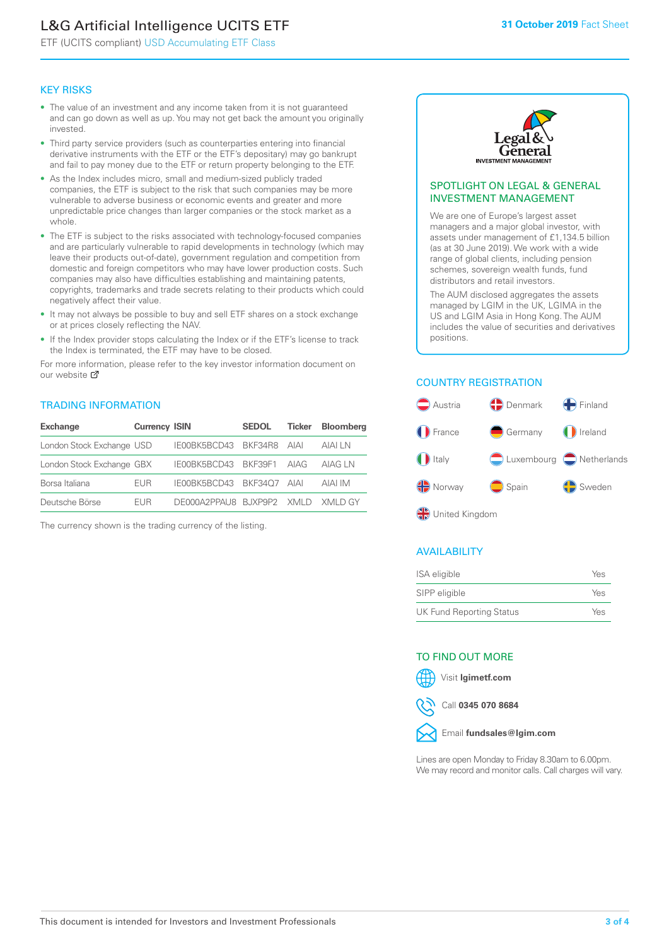# L&G Artificial Intelligence UCITS ETF

ETF (UCITS compliant) USD Accumulating ETF Class

#### KEY RISKS

- The value of an investment and any income taken from it is not guaranteed and can go down as well as up. You may not get back the amount you originally invested.
- Third party service providers (such as counterparties entering into financial derivative instruments with the ETF or the ETF's depositary) may go bankrupt and fail to pay money due to the ETF or return property belonging to the ETF.
- As the Index includes micro, small and medium-sized publicly traded companies, the ETF is subject to the risk that such companies may be more vulnerable to adverse business or economic events and greater and more unpredictable price changes than larger companies or the stock market as a whole.
- The ETF is subject to the risks associated with technology-focused companies and are particularly vulnerable to rapid developments in technology (which may leave their products out-of-date), government regulation and competition from domestic and foreign competitors who may have lower production costs. Such companies may also have difficulties establishing and maintaining patents, copyrights, trademarks and trade secrets relating to their products which could negatively affect their value.
- It may not always be possible to buy and sell ETF shares on a stock exchange or at prices closely reflecting the NAV.
- If the Index provider stops calculating the Index or if the ETF's license to track the Index is terminated, the ETF may have to be closed.

For more information, please refer to the key investor information document on our website Ø

#### TRADING INFORMATION

| <b>Exchange</b>           | <b>Currency ISIN</b> |                                   | <b>SEDOL</b> | Ticker | <b>Bloomberg</b> |
|---------------------------|----------------------|-----------------------------------|--------------|--------|------------------|
| London Stock Exchange USD |                      | IE00BK5BCD43 BKF34R8 AIAI         |              |        | AIAI LN          |
| London Stock Exchange GBX |                      | IE00BK5BCD43 BKF39F1 AIAG         |              |        | AIAG I N         |
| Borsa Italiana            | <b>FUR</b>           | IE00BK5BCD43 BKF34O7 AIAI         |              |        | AIAI IM          |
| Deutsche Börse            | <b>FUR</b>           | DE000A2PPAU8 BUXP9P2 XMLD XMLD GY |              |        |                  |

The currency shown is the trading currency of the listing.



#### SPOTLIGHT ON LEGAL & GENERAL INVESTMENT MANAGEMENT

We are one of Europe's largest asset managers and a major global investor, with assets under management of £1,134.5 billion (as at 30 June 2019). We work with a wide range of global clients, including pension schemes, sovereign wealth funds, fund distributors and retail investors.

The AUM disclosed aggregates the assets managed by LGIM in the UK, LGIMA in the US and LGIM Asia in Hong Kong. The AUM includes the value of securities and derivatives positions.

#### COUNTRY REGISTRATION



#### AVAILABILITY

| ISA eligible                    | Yes |
|---------------------------------|-----|
| SIPP eligible                   | Yes |
| <b>UK Fund Reporting Status</b> | Yes |

#### TO FIND OUT MORE

Visit **lgimetf.com**



Call **0345 070 8684**



Lines are open Monday to Friday 8.30am to 6.00pm. We may record and monitor calls. Call charges will vary.